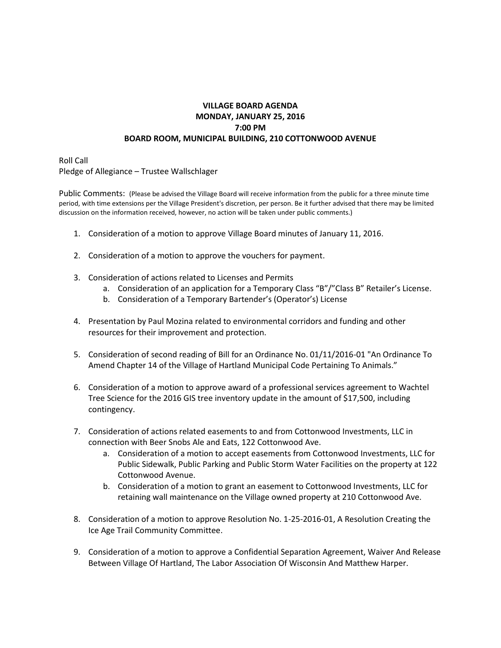## **VILLAGE BOARD AGENDA MONDAY, JANUARY 25, 2016 7:00 PM BOARD ROOM, MUNICIPAL BUILDING, 210 COTTONWOOD AVENUE**

Roll Call Pledge of Allegiance – Trustee Wallschlager

Public Comments: (Please be advised the Village Board will receive information from the public for a three minute time period, with time extensions per the Village President's discretion, per person. Be it further advised that there may be limited discussion on the information received, however, no action will be taken under public comments.)

- 1. Consideration of a motion to approve Village Board minutes of January 11, 2016.
- 2. Consideration of a motion to approve the vouchers for payment.
- 3. Consideration of actions related to Licenses and Permits
	- a. Consideration of an application for a Temporary Class "B"/"Class B" Retailer's License.
	- b. Consideration of a Temporary Bartender's (Operator's) License
- 4. Presentation by Paul Mozina related to environmental corridors and funding and other resources for their improvement and protection.
- 5. Consideration of second reading of Bill for an Ordinance No. 01/11/2016-01 "An Ordinance To Amend Chapter 14 of the Village of Hartland Municipal Code Pertaining To Animals."
- 6. Consideration of a motion to approve award of a professional services agreement to Wachtel Tree Science for the 2016 GIS tree inventory update in the amount of \$17,500, including contingency.
- 7. Consideration of actions related easements to and from Cottonwood Investments, LLC in connection with Beer Snobs Ale and Eats, 122 Cottonwood Ave.
	- a. Consideration of a motion to accept easements from Cottonwood Investments, LLC for Public Sidewalk, Public Parking and Public Storm Water Facilities on the property at 122 Cottonwood Avenue.
	- b. Consideration of a motion to grant an easement to Cottonwood Investments, LLC for retaining wall maintenance on the Village owned property at 210 Cottonwood Ave.
- 8. Consideration of a motion to approve Resolution No. 1-25-2016-01, A Resolution Creating the Ice Age Trail Community Committee.
- 9. Consideration of a motion to approve a Confidential Separation Agreement, Waiver And Release Between Village Of Hartland, The Labor Association Of Wisconsin And Matthew Harper.